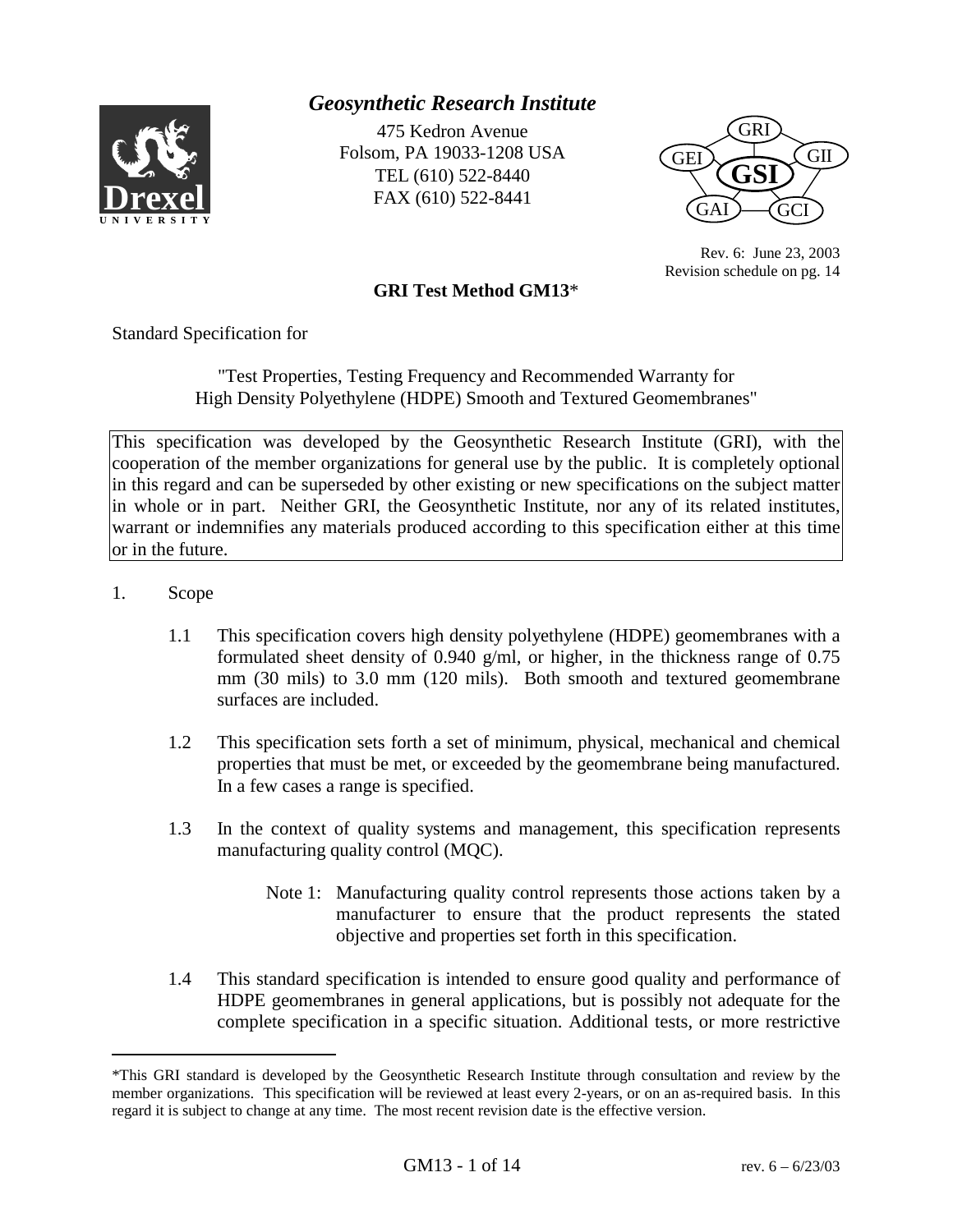

# *Geosynthetic Research Institute*

475 Kedron Avenue Folsom, PA 19033-1208 USA TEL (610) 522-8440 FAX (610) 522-8441



Rev. 6: June 23, 2003 Revision schedule on pg. 14

### **GRI Test Method GM13**\*

Standard Specification for

"Test Properties, Testing Frequency and Recommended Warranty for High Density Polyethylene (HDPE) Smooth and Textured Geomembranes"

This specification was developed by the Geosynthetic Research Institute (GRI), with the cooperation of the member organizations for general use by the public. It is completely optional in this regard and can be superseded by other existing or new specifications on the subject matter in whole or in part. Neither GRI, the Geosynthetic Institute, nor any of its related institutes, warrant or indemnifies any materials produced according to this specification either at this time or in the future.

1. Scope

l

- 1.1 This specification covers high density polyethylene (HDPE) geomembranes with a formulated sheet density of 0.940 g/ml, or higher, in the thickness range of 0.75 mm (30 mils) to 3.0 mm (120 mils). Both smooth and textured geomembrane surfaces are included.
- 1.2 This specification sets forth a set of minimum, physical, mechanical and chemical properties that must be met, or exceeded by the geomembrane being manufactured. In a few cases a range is specified.
- 1.3 In the context of quality systems and management, this specification represents manufacturing quality control (MQC).
	- Note 1: Manufacturing quality control represents those actions taken by a manufacturer to ensure that the product represents the stated objective and properties set forth in this specification.
- 1.4 This standard specification is intended to ensure good quality and performance of HDPE geomembranes in general applications, but is possibly not adequate for the complete specification in a specific situation. Additional tests, or more restrictive

<sup>\*</sup>This GRI standard is developed by the Geosynthetic Research Institute through consultation and review by the member organizations. This specification will be reviewed at least every 2-years, or on an as-required basis. In this regard it is subject to change at any time. The most recent revision date is the effective version.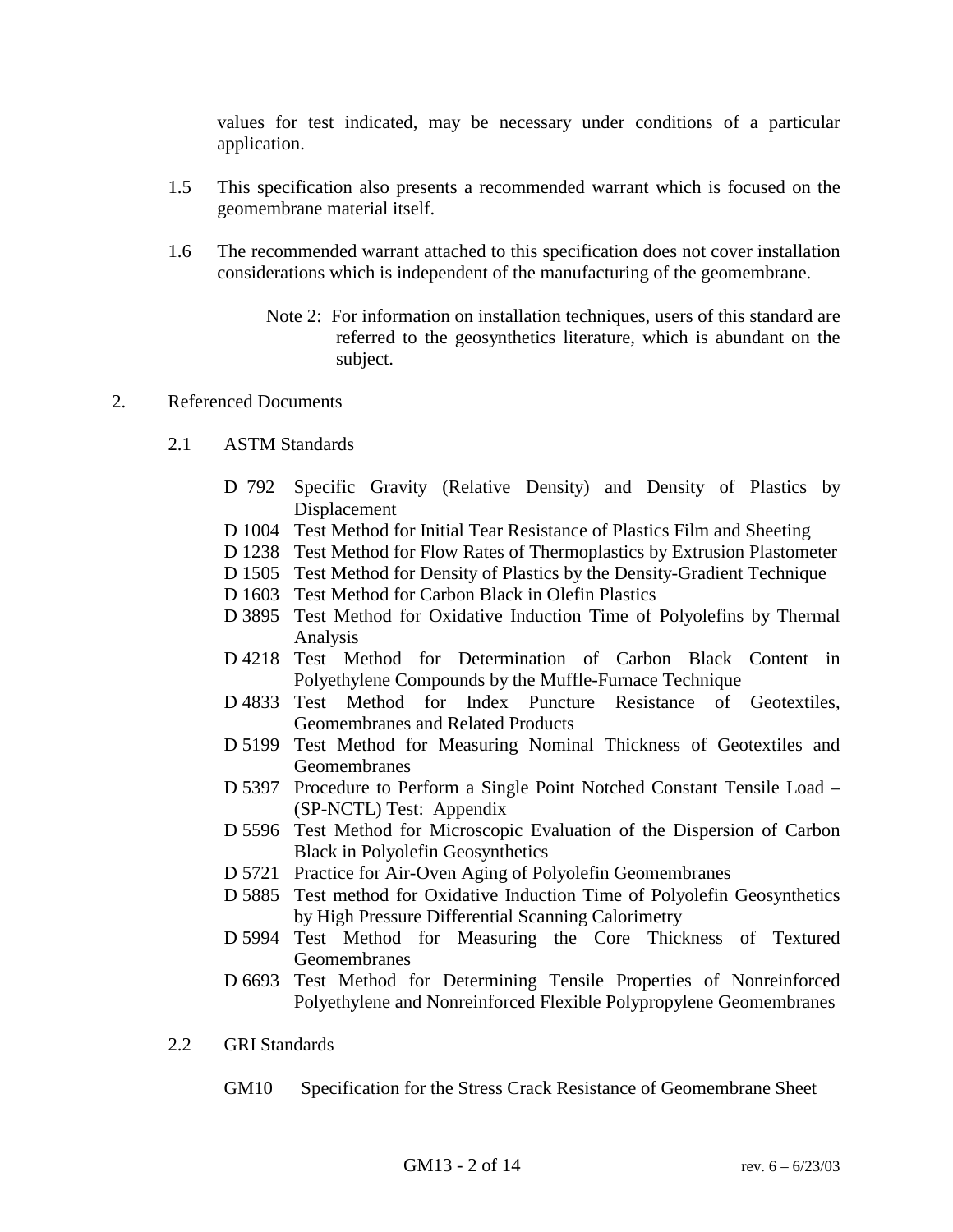values for test indicated, may be necessary under conditions of a particular application.

- 1.5 This specification also presents a recommended warrant which is focused on the geomembrane material itself.
- 1.6 The recommended warrant attached to this specification does not cover installation considerations which is independent of the manufacturing of the geomembrane.
	- Note 2: For information on installation techniques, users of this standard are referred to the geosynthetics literature, which is abundant on the subject.

#### 2. Referenced Documents

- 2.1 ASTM Standards
	- D 792 Specific Gravity (Relative Density) and Density of Plastics by Displacement
	- D 1004 Test Method for Initial Tear Resistance of Plastics Film and Sheeting
	- D 1238 Test Method for Flow Rates of Thermoplastics by Extrusion Plastometer
	- D 1505 Test Method for Density of Plastics by the Density-Gradient Technique
	- D 1603 Test Method for Carbon Black in Olefin Plastics
	- D 3895 Test Method for Oxidative Induction Time of Polyolefins by Thermal Analysis
	- D 4218 Test Method for Determination of Carbon Black Content in Polyethylene Compounds by the Muffle-Furnace Technique
	- D 4833 Test Method for Index Puncture Resistance of Geotextiles, Geomembranes and Related Products
	- D 5199 Test Method for Measuring Nominal Thickness of Geotextiles and Geomembranes
	- D 5397 Procedure to Perform a Single Point Notched Constant Tensile Load (SP-NCTL) Test: Appendix
	- D 5596 Test Method for Microscopic Evaluation of the Dispersion of Carbon Black in Polyolefin Geosynthetics
	- D 5721 Practice for Air-Oven Aging of Polyolefin Geomembranes
	- D 5885 Test method for Oxidative Induction Time of Polyolefin Geosynthetics by High Pressure Differential Scanning Calorimetry
	- D 5994 Test Method for Measuring the Core Thickness of Textured Geomembranes
	- D 6693 Test Method for Determining Tensile Properties of Nonreinforced Polyethylene and Nonreinforced Flexible Polypropylene Geomembranes
- 2.2 GRI Standards
	- GM10 Specification for the Stress Crack Resistance of Geomembrane Sheet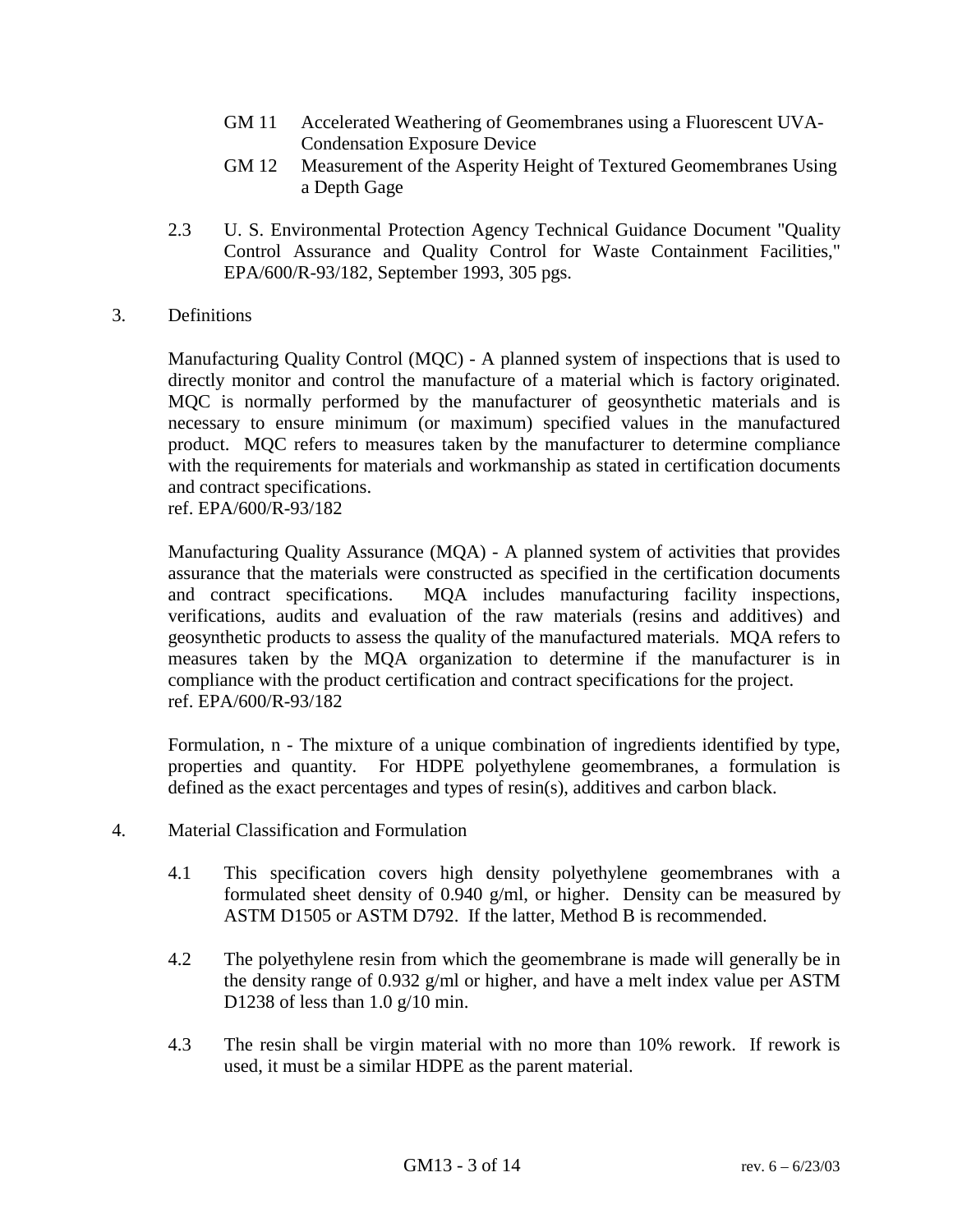- GM 11 Accelerated Weathering of Geomembranes using a Fluorescent UVA-Condensation Exposure Device
- GM 12 Measurement of the Asperity Height of Textured Geomembranes Using a Depth Gage
- 2.3 U. S. Environmental Protection Agency Technical Guidance Document "Quality Control Assurance and Quality Control for Waste Containment Facilities," EPA/600/R-93/182, September 1993, 305 pgs.
- 3. Definitions

Manufacturing Quality Control (MQC) - A planned system of inspections that is used to directly monitor and control the manufacture of a material which is factory originated. MQC is normally performed by the manufacturer of geosynthetic materials and is necessary to ensure minimum (or maximum) specified values in the manufactured product. MQC refers to measures taken by the manufacturer to determine compliance with the requirements for materials and workmanship as stated in certification documents and contract specifications.

ref. EPA/600/R-93/182

Manufacturing Quality Assurance (MQA) - A planned system of activities that provides assurance that the materials were constructed as specified in the certification documents and contract specifications. MQA includes manufacturing facility inspections, verifications, audits and evaluation of the raw materials (resins and additives) and geosynthetic products to assess the quality of the manufactured materials. MQA refers to measures taken by the MQA organization to determine if the manufacturer is in compliance with the product certification and contract specifications for the project. ref. EPA/600/R-93/182

Formulation, n - The mixture of a unique combination of ingredients identified by type, properties and quantity. For HDPE polyethylene geomembranes, a formulation is defined as the exact percentages and types of resin(s), additives and carbon black.

- 4. Material Classification and Formulation
	- 4.1 This specification covers high density polyethylene geomembranes with a formulated sheet density of 0.940 g/ml, or higher. Density can be measured by ASTM D1505 or ASTM D792. If the latter, Method B is recommended.
	- 4.2 The polyethylene resin from which the geomembrane is made will generally be in the density range of 0.932 g/ml or higher, and have a melt index value per ASTM D1238 of less than  $1.0 \text{ g}/10 \text{ min}$ .
	- 4.3 The resin shall be virgin material with no more than 10% rework. If rework is used, it must be a similar HDPE as the parent material.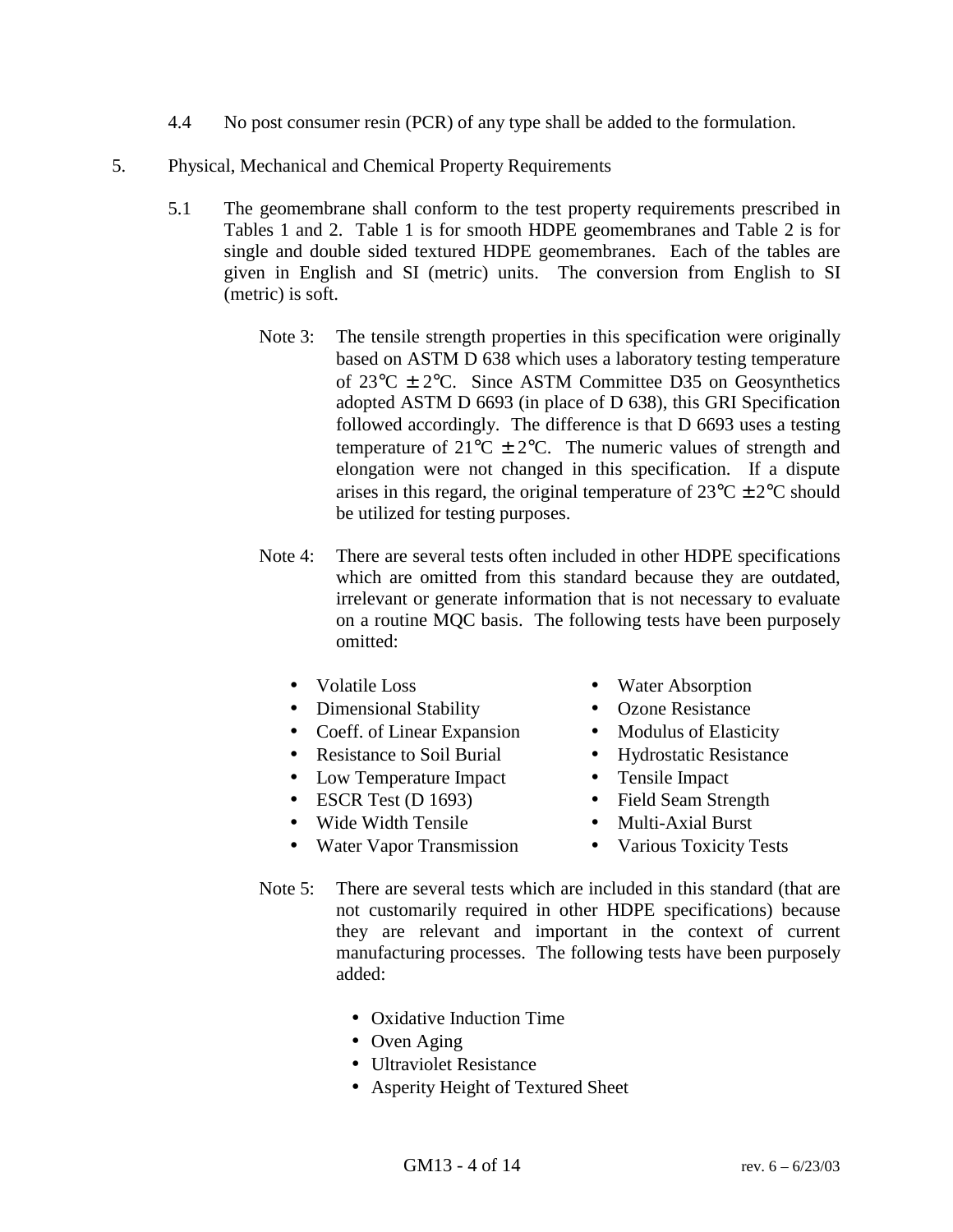- 4.4 No post consumer resin (PCR) of any type shall be added to the formulation.
- 5. Physical, Mechanical and Chemical Property Requirements
	- 5.1 The geomembrane shall conform to the test property requirements prescribed in Tables 1 and 2. Table 1 is for smooth HDPE geomembranes and Table 2 is for single and double sided textured HDPE geomembranes. Each of the tables are given in English and SI (metric) units. The conversion from English to SI (metric) is soft.
		- Note 3: The tensile strength properties in this specification were originally based on ASTM D 638 which uses a laboratory testing temperature of  $23^{\circ}$ C  $\pm$  2°C. Since ASTM Committee D35 on Geosynthetics adopted ASTM D 6693 (in place of D 638), this GRI Specification followed accordingly. The difference is that D 6693 uses a testing temperature of  $21^{\circ}$ C  $\pm$  2°C. The numeric values of strength and elongation were not changed in this specification. If a dispute arises in this regard, the original temperature of  $23^{\circ}C \pm 2^{\circ}C$  should be utilized for testing purposes.
		- Note 4: There are several tests often included in other HDPE specifications which are omitted from this standard because they are outdated, irrelevant or generate information that is not necessary to evaluate on a routine MQC basis. The following tests have been purposely omitted:
			- Volatile Loss Water Absorption
			- Dimensional Stability Ozone Resistance
			- Coeff. of Linear Expansion Modulus of Elasticity
			- Resistance to Soil Burial Hydrostatic Resistance
			- Low Temperature Impact Tensile Impact
			- ESCR Test (D 1693) Field Seam Strength
			- Wide Width Tensile Multi-Axial Burst
- 
- 
- 
- 
- 
- 
- - Water Vapor Transmission Various Toxicity Tests
	- Note 5: There are several tests which are included in this standard (that are not customarily required in other HDPE specifications) because they are relevant and important in the context of current manufacturing processes. The following tests have been purposely added:
		- Oxidative Induction Time
		- Oven Aging
		- Ultraviolet Resistance
		- Asperity Height of Textured Sheet
			- GM13 4 of 14 rev.  $6 6/23/03$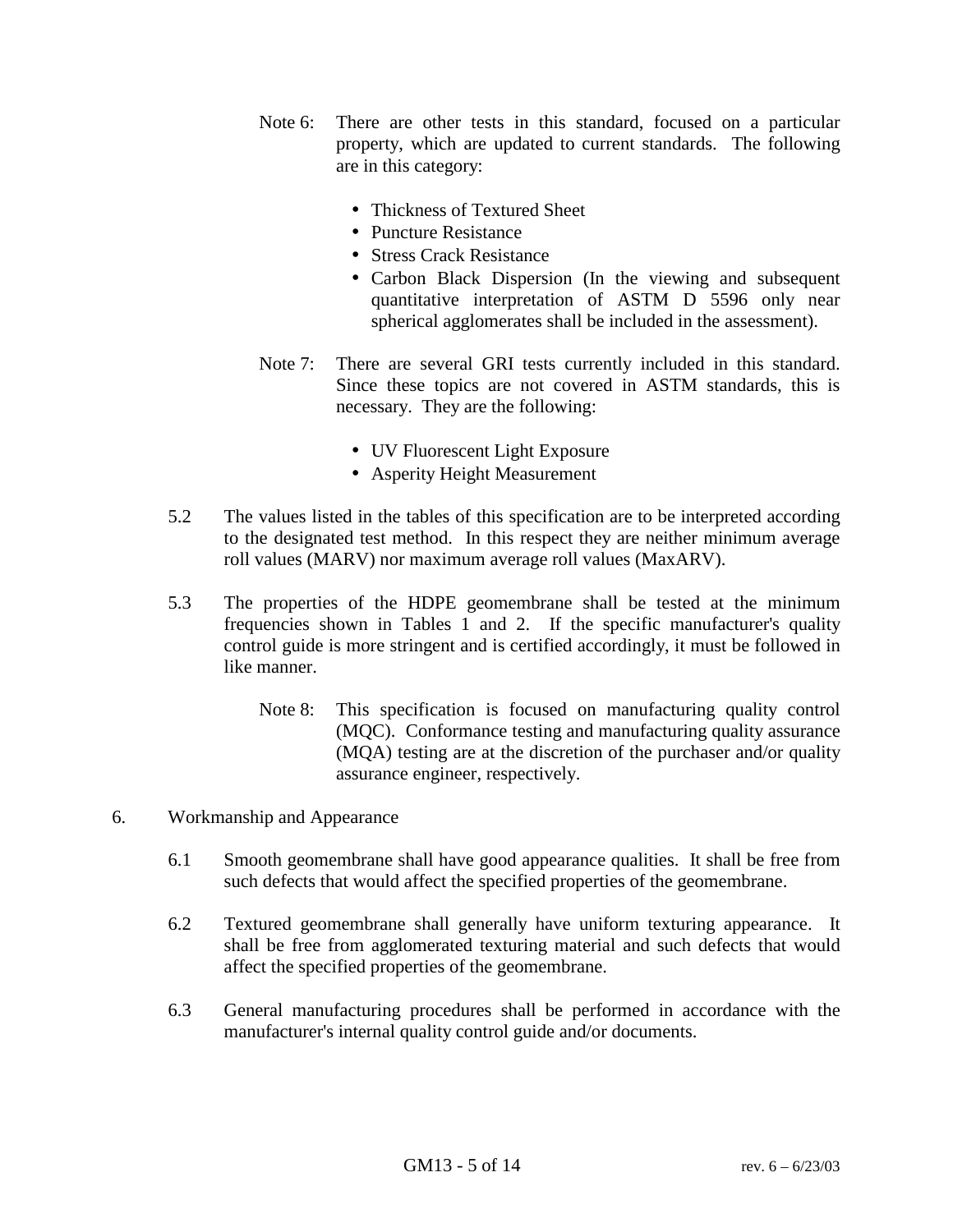- Note 6: There are other tests in this standard, focused on a particular property, which are updated to current standards. The following are in this category:
	- Thickness of Textured Sheet
	- Puncture Resistance
	- Stress Crack Resistance
	- Carbon Black Dispersion (In the viewing and subsequent quantitative interpretation of ASTM D 5596 only near spherical agglomerates shall be included in the assessment).
- Note 7: There are several GRI tests currently included in this standard. Since these topics are not covered in ASTM standards, this is necessary. They are the following:
	- UV Fluorescent Light Exposure
	- Asperity Height Measurement
- 5.2 The values listed in the tables of this specification are to be interpreted according to the designated test method. In this respect they are neither minimum average roll values (MARV) nor maximum average roll values (MaxARV).
- 5.3 The properties of the HDPE geomembrane shall be tested at the minimum frequencies shown in Tables 1 and 2. If the specific manufacturer's quality control guide is more stringent and is certified accordingly, it must be followed in like manner.
	- Note 8: This specification is focused on manufacturing quality control (MQC). Conformance testing and manufacturing quality assurance (MQA) testing are at the discretion of the purchaser and/or quality assurance engineer, respectively.
- 6. Workmanship and Appearance
	- 6.1 Smooth geomembrane shall have good appearance qualities. It shall be free from such defects that would affect the specified properties of the geomembrane.
	- 6.2 Textured geomembrane shall generally have uniform texturing appearance. It shall be free from agglomerated texturing material and such defects that would affect the specified properties of the geomembrane.
	- 6.3 General manufacturing procedures shall be performed in accordance with the manufacturer's internal quality control guide and/or documents.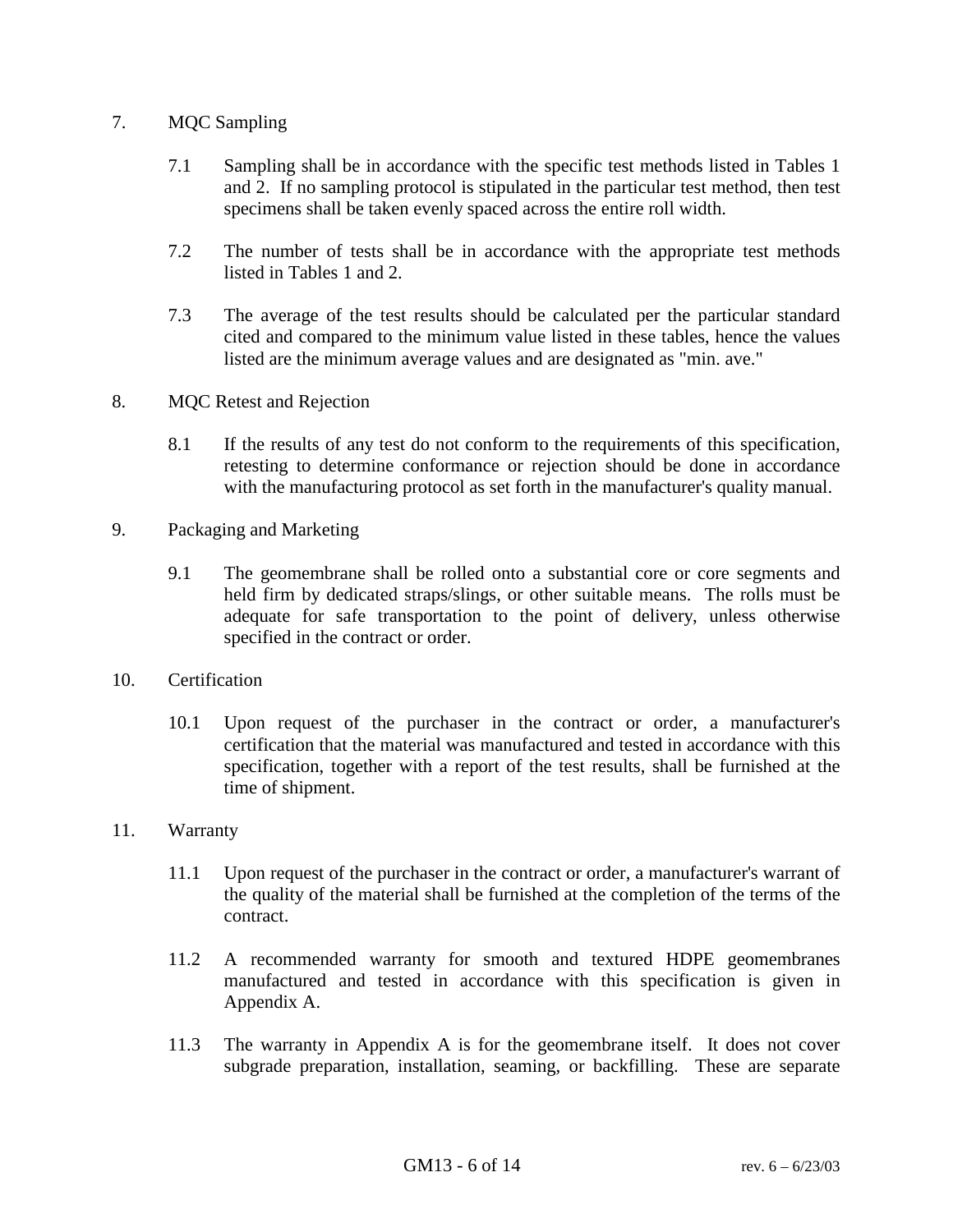### 7. MQC Sampling

- 7.1 Sampling shall be in accordance with the specific test methods listed in Tables 1 and 2. If no sampling protocol is stipulated in the particular test method, then test specimens shall be taken evenly spaced across the entire roll width.
- 7.2 The number of tests shall be in accordance with the appropriate test methods listed in Tables 1 and 2.
- 7.3 The average of the test results should be calculated per the particular standard cited and compared to the minimum value listed in these tables, hence the values listed are the minimum average values and are designated as "min. ave."
- 8. MQC Retest and Rejection
	- 8.1 If the results of any test do not conform to the requirements of this specification, retesting to determine conformance or rejection should be done in accordance with the manufacturing protocol as set forth in the manufacturer's quality manual.
- 9. Packaging and Marketing
	- 9.1 The geomembrane shall be rolled onto a substantial core or core segments and held firm by dedicated straps/slings, or other suitable means. The rolls must be adequate for safe transportation to the point of delivery, unless otherwise specified in the contract or order.
- 10. Certification
	- 10.1 Upon request of the purchaser in the contract or order, a manufacturer's certification that the material was manufactured and tested in accordance with this specification, together with a report of the test results, shall be furnished at the time of shipment.
- 11. Warranty
	- 11.1 Upon request of the purchaser in the contract or order, a manufacturer's warrant of the quality of the material shall be furnished at the completion of the terms of the contract.
	- 11.2 A recommended warranty for smooth and textured HDPE geomembranes manufactured and tested in accordance with this specification is given in Appendix A.
	- 11.3 The warranty in Appendix A is for the geomembrane itself. It does not cover subgrade preparation, installation, seaming, or backfilling. These are separate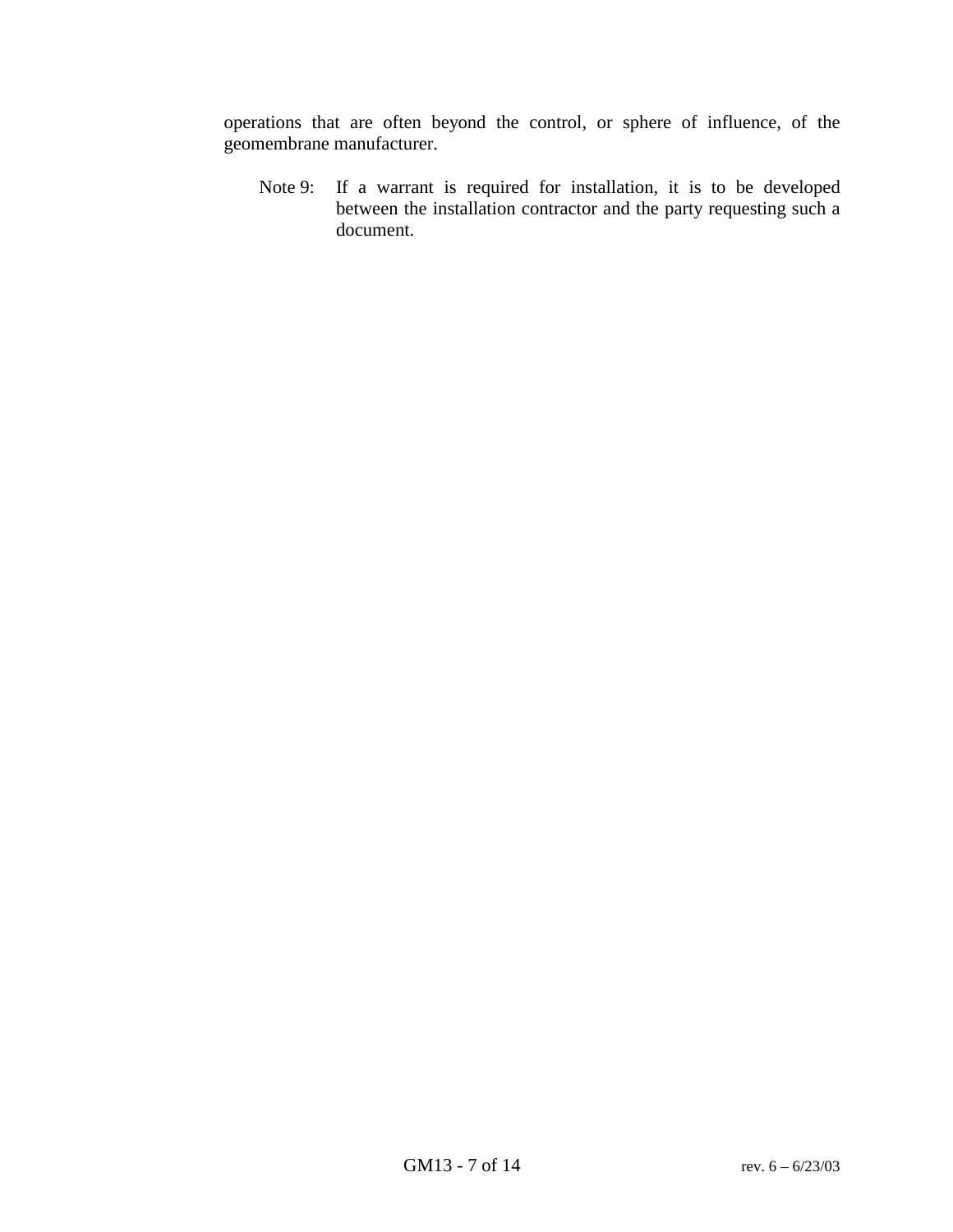operations that are often beyond the control, or sphere of influence, of the geomembrane manufacturer.

Note 9: If a warrant is required for installation, it is to be developed between the installation contractor and the party requesting such a document.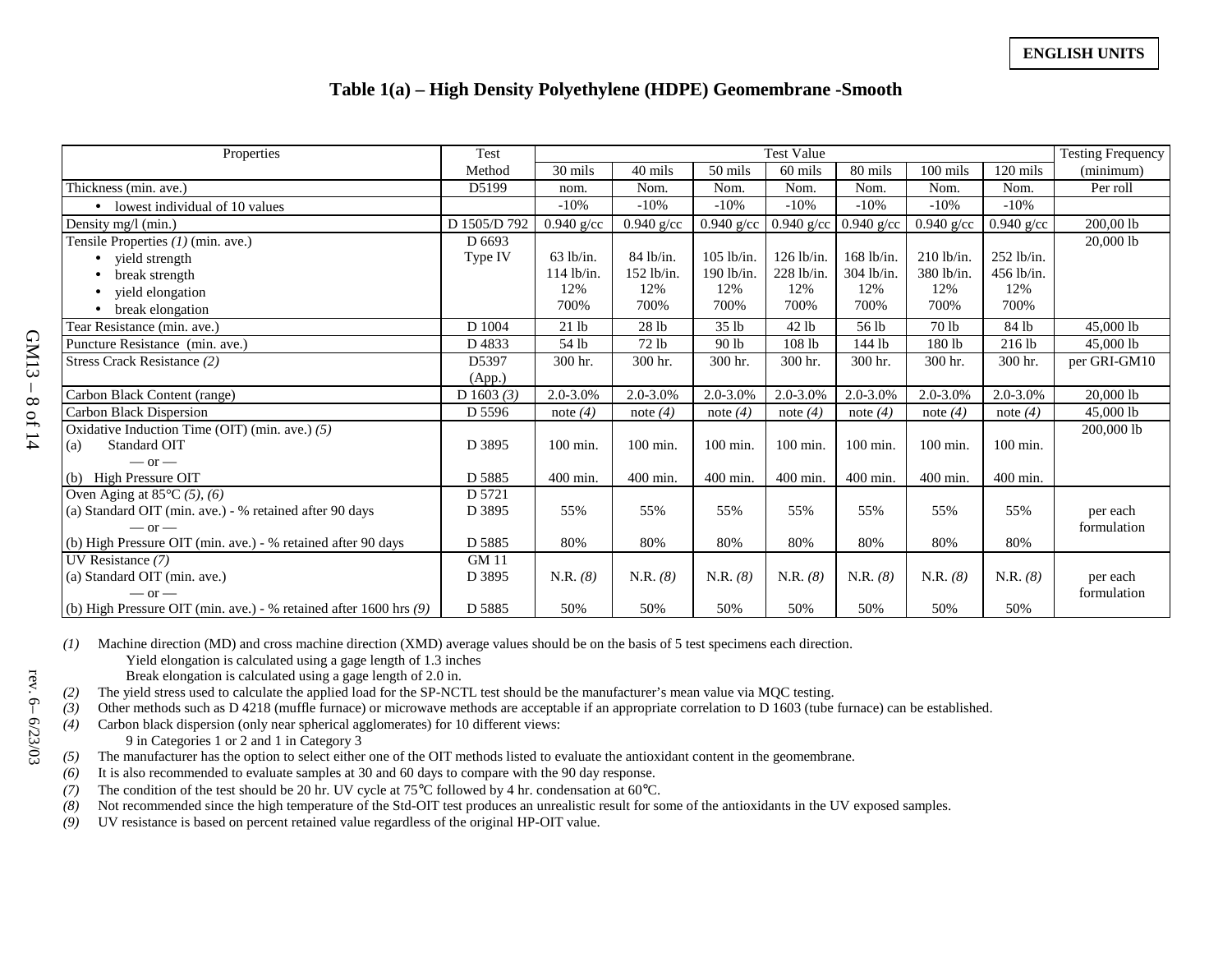#### **Table 1(a) – High Density Polyethylene (HDPE) Geomembrane -Smooth**

| Properties                                                                  | Test         | <b>Test Value</b> |              |                  |              |              | <b>Testing Frequency</b> |              |              |
|-----------------------------------------------------------------------------|--------------|-------------------|--------------|------------------|--------------|--------------|--------------------------|--------------|--------------|
|                                                                             | Method       | 30 mils           | 40 mils      | 50 mils          | 60 mils      | 80 mils      | $100$ mils               | 120 mils     | (minimum)    |
| Thickness (min. ave.)                                                       | D5199        | nom.              | Nom.         | Nom.             | Nom.         | Nom.         | Nom.                     | Nom.         | Per roll     |
| • lowest individual of 10 values                                            |              | $-10%$            | $-10%$       | $-10%$           | $-10%$       | $-10%$       | $-10%$                   | $-10%$       |              |
| Density mg/l (min.)                                                         | D 1505/D 792 | $0.940$ g/cc      | $0.940$ g/cc | $0.940$ g/cc     | $0.940$ g/cc | $0.940$ g/cc | $0.940$ g/cc             | $0.940$ g/cc | 200,00 lb    |
| Tensile Properties $(1)$ (min. ave.)                                        | D 6693       |                   |              |                  |              |              |                          |              | 20,000 lb    |
| yield strength                                                              | Type IV      | $63$ lb/in.       | 84 lb/in.    | $105$ lb/in.     | $126$ lb/in. | $168$ lb/in. | $210$ lb/in.             | $252$ lb/in. |              |
| break strength                                                              |              | $114$ lb/in.      | $152$ lb/in  | 190 lb/in.       | $228$ lb/in. | 304 lb/in.   | 380 lb/in.               | $456$ lb/in. |              |
| yield elongation                                                            |              | 12%               | 12%          | 12%              | 12%          | 12%          | 12%                      | 12%          |              |
| break elongation                                                            |              | 700%              | 700%         | 700%             | 700%         | 700%         | 700%                     | 700%         |              |
| Tear Resistance (min. ave.)                                                 | D 1004       | 21 lb             | 28 lb        | 35 <sub>1b</sub> | 42 lb        | 56 lb        | 70 <sub>1b</sub>         | 84 lb        | 45,000 lb    |
| Puncture Resistance (min. ave.)                                             | D4833        | 54 lb             | 72 lb        | 90 lb            | 108 lb       | 144 lb       | 180 lb                   | 216 lb       | 45,000 lb    |
| Stress Crack Resistance (2)                                                 | D5397        | 300 hr.           | 300 hr.      | 300 hr.          | 300 hr.      | 300 hr.      | 300 hr.                  | 300 hr.      | per GRI-GM10 |
|                                                                             | (App.)       |                   |              |                  |              |              |                          |              |              |
| Carbon Black Content (range)                                                | D 1603 $(3)$ | 2.0-3.0%          | 2.0-3.0%     | 2.0-3.0%         | 2.0-3.0%     | 2.0-3.0%     | 2.0-3.0%                 | 2.0-3.0%     | 20,000 lb    |
| Carbon Black Dispersion                                                     | D 5596       | note $(4)$        | note $(4)$   | note $(4)$       | note $(4)$   | note $(4)$   | note $(4)$               | note $(4)$   | 45,000 lb    |
| Oxidative Induction Time (OIT) (min. ave.) $(5)$                            |              |                   |              |                  |              |              |                          |              | 200,000 lb   |
| Standard OIT<br>(a)                                                         | D 3895       | 100 min.          | 100 min.     | 100 min.         | $100$ min.   | $100$ min.   | $100$ min.               | $100$ min.   |              |
| $-$ or $-$                                                                  |              |                   |              |                  |              |              |                          |              |              |
| <b>High Pressure OIT</b><br>(b)                                             | D 5885       | 400 min.          | 400 min.     | 400 min.         | 400 min.     | 400 min.     | 400 min.                 | 400 min.     |              |
| Oven Aging at $85^{\circ}$ C $(5)$ , $(6)$                                  | D 5721       |                   |              |                  |              |              |                          |              |              |
| (a) Standard OIT (min. ave.) - % retained after 90 days                     | D 3895       | 55%               | 55%          | 55%              | 55%          | 55%          | 55%                      | 55%          | per each     |
| $-$ or $-$                                                                  |              |                   |              |                  |              |              |                          |              | formulation  |
| (b) High Pressure OIT (min. ave.) - % retained after 90 days                | D 5885       | 80%               | 80%          | 80%              | 80%          | 80%          | 80%                      | 80%          |              |
| UV Resistance (7)                                                           | <b>GM 11</b> |                   |              |                  |              |              |                          |              |              |
| (a) Standard OIT (min. ave.)                                                | D 3895       | N.R. (8)          | N.R. (8)     | N.R. (8)         | N.R. (8)     | N.R. (8)     | N.R. (8)                 | N.R. (8)     | per each     |
| $-$ or $-$                                                                  |              |                   |              |                  |              |              |                          |              | formulation  |
| (b) High Pressure OIT (min. ave.) - % retained after $1600 \text{ hrs}$ (9) | D 5885       | 50%               | 50%          | 50%              | 50%          | 50%          | 50%                      | 50%          |              |

rev. 6-6/23/03

*(1)* Machine direction (MD) and cross machine direction (XMD) average values should be on the basis of 5 test specimens each direction.

Yield elongation is calculated using a gage length of 1.3 inches

Break elongation is calculated using a gage length of 2.0 in.

*(2)* The yield stress used to calculate the applied load for the SP-NCTL test should be the manufacturer's mean value via MQC testing.

*(3)* Other methods such as D 4218 (muffle furnace) or microwave methods are acceptable if an appropriate correlation to D 1603 (tube furnace) can be established.

*(4)* Carbon black dispersion (only near spherical agglomerates) for 10 different views: 9 in Categories 1 or 2 and 1 in Category 3

*(5)* The manufacturer has the option to select either one of the OIT methods listed to evaluate the antioxidant content in the geomembrane.

*(6)* It is also recommended to evaluate samples at 30 and 60 days to compare with the 90 day response.

*(7)* The condition of the test should be 20 hr. UV cycle at 75°C followed by 4 hr. condensation at 60°C.

*(8)* Not recommended since the high temperature of the Std-OIT test produces an unrealistic result for some of the antioxidants in the UV exposed samples.

*(9)* UV resistance is based on percent retained value regardless of the original HP-OIT value.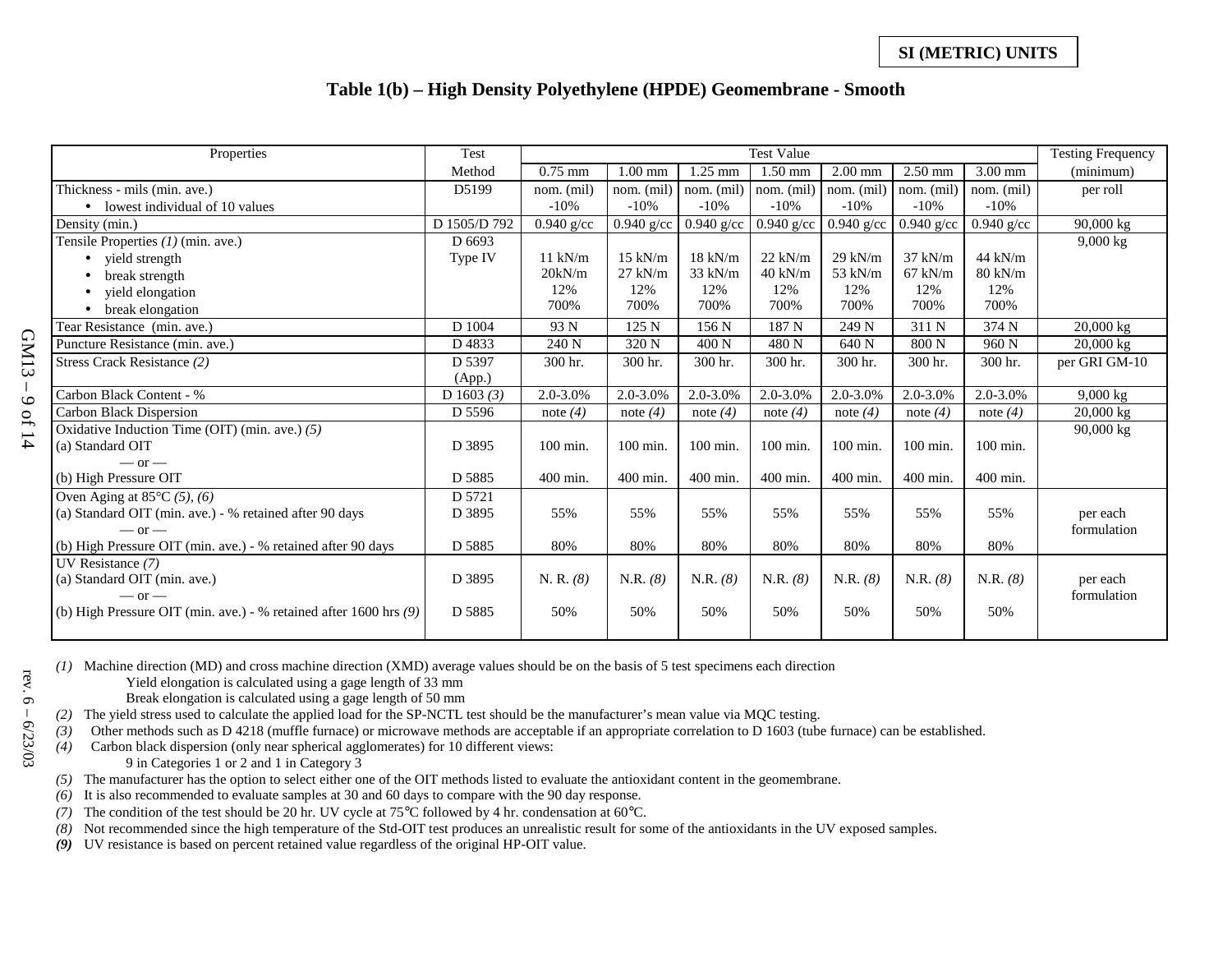#### **Table 1(b) – High Density Polyethylene (HPDE) Geomembrane - Smooth**

| Properties                                                        | Test         |               | <b>Test Value</b> |              |                  |              | <b>Testing Frequency</b> |                   |                     |
|-------------------------------------------------------------------|--------------|---------------|-------------------|--------------|------------------|--------------|--------------------------|-------------------|---------------------|
|                                                                   | Method       | $0.75$ mm     | $1.00$ mm         | $1.25$ mm    | $1.50$ mm        | $2.00$ mm    | $2.50$ mm                | $3.00$ mm         | (minimum)           |
| Thickness - mils (min. ave.)                                      | D5199        | nom. (mil)    | nom. (mil)        | nom. (mil)   | nom. (mil)       | nom. (mil)   | nom. (mil)               | nom. (mil)        | per roll            |
| $\bullet$ lowest individual of 10 values                          |              | $-10%$        | $-10%$            | $-10%$       | $-10%$           | $-10%$       | $-10%$                   | $-10%$            |                     |
| Density (min.)                                                    | D 1505/D 792 | $0.940$ g/cc  | $0.940$ g/cc      | $0.940$ g/cc | $0.940$ g/cc     | $0.940$ g/cc | $0.940$ g/cc             | $0.940$ g/cc      | 90,000 kg           |
| Tensile Properties $(1)$ (min. ave.)                              | D 6693       |               |                   |              |                  |              |                          |                   | $9,000 \text{ kg}$  |
| • yield strength                                                  | Type IV      | $11$ kN/m     | $15$ kN/m         | $18$ kN/m    | $22$ kN/m        | $29$ kN/m    | $37$ kN/m                | $44$ kN/m         |                     |
| break strength                                                    |              | 20kN/m        | $27$ kN/m         | 33 kN/m      | $40$ kN/m        | 53 kN/m      | $67$ kN/m                | $80 \text{ kN/m}$ |                     |
| yield elongation                                                  |              | 12%           | 12%               | 12%          | 12%              | 12%          | 12%                      | 12%               |                     |
| break elongation                                                  |              | 700%          | 700%              | 700%         | 700%             | 700%         | 700%                     | 700%              |                     |
| Tear Resistance (min. ave.)                                       | D 1004       | 93 N          | 125 N             | 156 N        | 187 <sub>N</sub> | 249 N        | 311 N                    | 374 N             | $20,000 \text{ kg}$ |
| Puncture Resistance (min. ave.)                                   | D4833        | 240 N         | 320 N             | 400 N        | 480 <sub>N</sub> | 640 N        | 800 N                    | 960 <sub>N</sub>  | 20,000 kg           |
| Stress Crack Resistance (2)                                       | D 5397       | 300 hr.       | 300 hr.           | 300 hr.      | 300 hr.          | 300 hr.      | 300 hr.                  | 300 hr.           | per GRI GM-10       |
|                                                                   | (App.)       |               |                   |              |                  |              |                          |                   |                     |
| Carbon Black Content - %                                          | D 1603 $(3)$ | $2.0 - 3.0\%$ | 2.0-3.0%          | 2.0-3.0%     | 2.0-3.0%         | 2.0-3.0%     | 2.0-3.0%                 | $2.0 - 3.0\%$     | $9,000 \text{ kg}$  |
| Carbon Black Dispersion                                           | D 5596       | note $(4)$    | note $(4)$        | note $(4)$   | note $(4)$       | note $(4)$   | note $(4)$               | note $(4)$        | $20,000 \text{ kg}$ |
| Oxidative Induction Time (OIT) (min. ave.) (5)                    |              |               |                   |              |                  |              |                          |                   | 90,000 kg           |
| (a) Standard OIT                                                  | D 3895       | 100 min.      | 100 min.          | 100 min.     | 100 min.         | 100 min.     | 100 min.                 | 100 min.          |                     |
| $-$ or $-$                                                        |              |               |                   |              |                  |              |                          |                   |                     |
| (b) High Pressure OIT                                             | D 5885       | 400 min.      | 400 min.          | 400 min.     | 400 min.         | 400 min.     | 400 min.                 | 400 min.          |                     |
| Oven Aging at $85^{\circ}$ C $(5)$ , $(6)$                        | D 5721       |               |                   |              |                  |              |                          |                   |                     |
| (a) Standard OIT (min. ave.) - % retained after 90 days           | D 3895       | 55%           | 55%               | 55%          | 55%              | 55%          | 55%                      | 55%               | per each            |
| $-$ or $-$                                                        |              |               |                   |              |                  |              |                          |                   | formulation         |
| (b) High Pressure OIT (min. ave.) - % retained after 90 days      | D 5885       | 80%           | $80\%$            | 80%          | 80%              | 80%          | 80%                      | 80%               |                     |
| UV Resistance $(7)$                                               |              |               |                   |              |                  |              |                          |                   |                     |
| (a) Standard OIT (min. ave.)                                      | D 3895       | N. R. (8)     | N.R. (8)          | N.R. (8)     | N.R. (8)         | N.R. (8)     | N.R. (8)                 | N.R. (8)          | per each            |
| $-$ or $-$                                                        |              | 50%           | 50%               | 50%          | 50%              | 50%          | 50%                      | 50%               | formulation         |
| (b) High Pressure OIT (min. ave.) - % retained after 1600 hrs (9) | D 5885       |               |                   |              |                  |              |                          |                   |                     |
|                                                                   |              |               |                   |              |                  |              |                          |                   |                     |

GM13 – 9 of 14 rev. 6 – 6/23/03 rev.  $6 -$ 

 $-6/23/03$ 

GM13-9 of 14

*(1)* Machine direction (MD) and cross machine direction (XMD) average values should be on the basis of 5 test specimens each direction

Yield elongation is calculated using a gage length of 33 mm

Break elongation is calculated using a gage length of 50 mm

*(2)* The yield stress used to calculate the applied load for the SP-NCTL test should be the manufacturer's mean value via MQC testing.

*(3)* Other methods such as D 4218 (muffle furnace) or microwave methods are acceptable if an appropriate correlation to D 1603 (tube furnace) can be established.

*(4)* Carbon black dispersion (only near spherical agglomerates) for 10 different views:

9 in Categories 1 or 2 and 1 in Category 3

*(5)* The manufacturer has the option to select either one of the OIT methods listed to evaluate the antioxidant content in the geomembrane.

*(6)* It is also recommended to evaluate samples at 30 and 60 days to compare with the 90 day response.

*(7)* The condition of the test should be 20 hr. UV cycle at 75°C followed by 4 hr. condensation at 60°C.

*(8)* Not recommended since the high temperature of the Std-OIT test produces an unrealistic result for some of the antioxidants in the UV exposed samples.

*(9)* UV resistance is based on percent retained value regardless of the original HP-OIT value.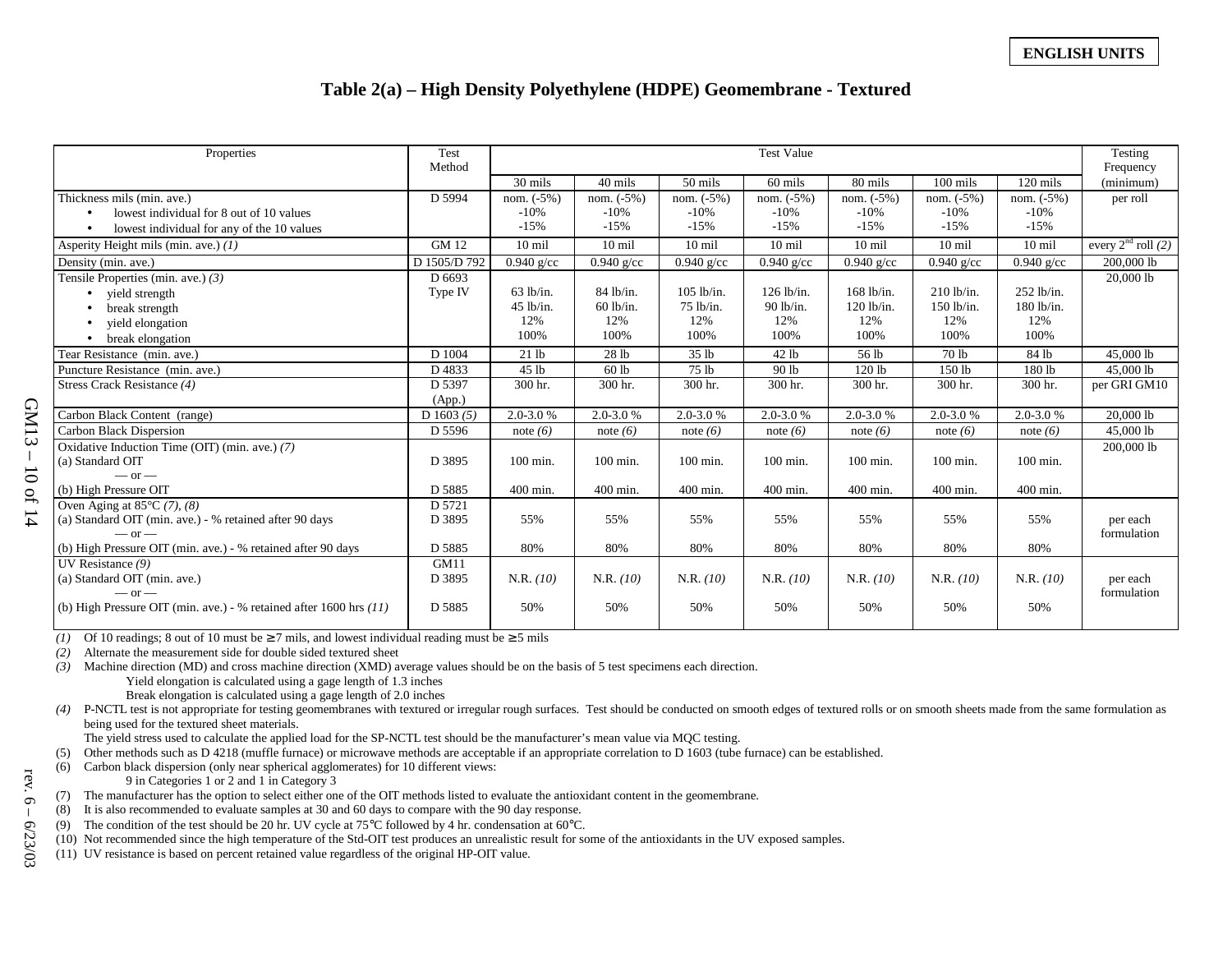#### **Table 2(a) – High Density Polyethylene (HDPE) Geomembrane - Textured**

| Properties                                                             | Test<br>Method | <b>Test Value</b> |               |                  |                  | Testing<br>Frequency |                  |                  |                      |
|------------------------------------------------------------------------|----------------|-------------------|---------------|------------------|------------------|----------------------|------------------|------------------|----------------------|
|                                                                        |                | 30 mils           | 40 mils       | 50 mils          | 60 mils          | 80 mils              | $100$ mils       | $120$ mils       | (minimum)            |
| Thickness mils (min. ave.)                                             | D 5994         | nom. $(-5%)$      | nom. $(-5%)$  | nom. $(-5%)$     | nom. $(-5%)$     | nom. $(-5%)$         | nom. $(-5%)$     | nom. $(-5%)$     | per roll             |
| lowest individual for 8 out of 10 values                               |                | $-10%$            | $-10%$        | $-10%$           | $-10%$           | $-10%$               | $-10%$           | $-10%$           |                      |
| lowest individual for any of the 10 values                             |                | $-15%$            | $-15%$        | $-15%$           | $-15%$           | $-15%$               | $-15%$           | $-15%$           |                      |
| Asperity Height mils (min. ave.) $(1)$                                 | <b>GM12</b>    | $10 \text{ mil}$  | $10$ mil      | $10 \text{ mil}$ | $10 \text{ mil}$ | $10 \text{ mil}$     | $10 \text{ mil}$ | $10 \text{ mil}$ | every $2nd$ roll (2) |
| Density (min. ave.)                                                    | D 1505/D 792   | $0.940$ g/cc      | $0.940$ g/cc  | $0.940$ g/cc     | $0.940$ g/cc     | $0.940$ g/cc         | $0.940$ g/cc     | $0.940$ g/cc     | 200,000 lb           |
| Tensile Properties (min. ave.) $(3)$                                   | D 6693         |                   |               |                  |                  |                      |                  |                  | 20,000 lb            |
| yield strength                                                         | Type IV        | $63$ lb/in.       | 84 lb/in.     | $105$ lb/in.     | 126 lb/in.       | $168$ lb/in.         | $210$ lb/in.     | $252$ lb/in.     |                      |
| break strength                                                         |                | $45$ lb/in.       | $60$ lb/in.   | $75$ lb/in.      | 90 lb/in.        | $120$ lb/in.         | $150$ lb/in.     | $180$ lb/in.     |                      |
| vield elongation                                                       |                | 12%               | 12%           | 12%              | 12%              | 12%                  | 12%              | 12%              |                      |
| break elongation                                                       |                | 100%              | 100%          | 100%             | 100%             | 100%                 | 100%             | 100%             |                      |
| Tear Resistance (min. ave.)                                            | D 1004         | 21 lb             | 28 lb         | 35 lb            | 42 lb            | 56 lb                | 70 lb            | 84 lb            | 45,000 lb            |
| Puncture Resistance (min. ave.)                                        | D4833          | 45 lb             | 60 lb         | 75 lb            | 90 lb            | 120 lb               | 150 lb           | 180 lb           | 45,000 lb            |
| Stress Crack Resistance (4)                                            | D 5397         | 300 hr.           | 300 hr.       | 300 hr.          | 300 hr.          | 300 hr.              | 300 hr.          | 300 hr.          | per GRI GM10         |
|                                                                        | (App.)         |                   |               |                  |                  |                      |                  |                  |                      |
| Carbon Black Content (range)                                           | D 1603 $(5)$   | $2.0 - 3.0 %$     | $2.0 - 3.0 %$ | $2.0 - 3.0 %$    | 2.0-3.0%         | $2.0 - 3.0 %$        | $2.0 - 3.0 %$    | $2.0 - 3.0 %$    | 20,0001              |
| Carbon Black Dispersion                                                | D 5596         | note $(6)$        | note $(6)$    | note $(6)$       | note $(6)$       | note $(6)$           | note $(6)$       | note $(6)$       | 45,000 lb            |
| Oxidative Induction Time (OIT) (min. ave.) (7)                         |                |                   |               |                  |                  |                      |                  |                  | 200,000 lb           |
| (a) Standard OIT                                                       | D 3895         | 100 min.          | $100$ min.    | 100 min.         | 100 min.         | $100$ min.           | $100$ min.       | 100 min.         |                      |
| $-$ or $-$                                                             |                |                   |               |                  |                  |                      |                  |                  |                      |
| (b) High Pressure OIT                                                  | D 5885         | 400 min.          | $400$ min.    | 400 min.         | 400 min.         | 400 min.             | 400 min.         | 400 min.         |                      |
| Oven Aging at $85^{\circ}$ C (7), (8)                                  | D 5721         |                   |               |                  |                  |                      |                  |                  |                      |
| (a) Standard OIT (min. ave.) - % retained after 90 days                | D 3895         | 55%               | 55%           | 55%              | 55%              | 55%                  | 55%              | 55%              | per each             |
| $-$ or $-$                                                             |                |                   |               |                  |                  |                      |                  |                  | formulation          |
| (b) High Pressure OIT (min. ave.) - % retained after 90 days           | D 5885         | 80%               | 80%           | 80%              | 80%              | 80%                  | 80%              | 80%              |                      |
| UV Resistance (9)                                                      | GM11           |                   |               |                  |                  |                      |                  |                  |                      |
| (a) Standard OIT (min. ave.)                                           | D 3895         | N.R. (10)         | N.R. (10)     | N.R. (10)        | N.R. (10)        | N.R. (10)            | N.R. (10)        | N.R. (10)        | per each             |
| $-$ or $-$                                                             |                |                   |               |                  |                  |                      |                  |                  | formulation          |
| (b) High Pressure OIT (min. ave.) - % retained after $1600$ hrs $(11)$ | D 5885         | 50%               | 50%           | 50%              | 50%              | 50%                  | 50%              | 50%              |                      |
|                                                                        |                |                   |               |                  |                  |                      |                  |                  |                      |

(1) Of 10 readings; 8 out of 10 must be  $\geq$  7 mils, and lowest individual reading must be  $\geq$  5 mils

*(2)* Alternate the measurement side for double sided textured sheet

*(3)* Machine direction (MD) and cross machine direction (XMD) average values should be on the basis of 5 test specimens each direction. Yield elongation is calculated using a gage length of 1.3 inches

Break elongation is calculated using a gage length of 2.0 inches

*(4)* P-NCTL test is not appropriate for testing geomembranes with textured or irregular rough surfaces. Test should be conducted on smooth edges of textured rolls or on smooth sheets made from the same formulation as being used for the textured sheet materials.

The yield stress used to calculate the applied load for the SP-NCTL test should be the manufacturer's mean value via MQC testing.

(5) Other methods such as D 4218 (muffle furnace) or microwave methods are acceptable if an appropriate correlation to D 1603 (tube furnace) can be established.

(6) Carbon black dispersion (only near spherical agglomerates) for 10 different views:

9 in Categories 1 or 2 and 1 in Category 3

(7) The manufacturer has the option to select either one of the OIT methods listed to evaluate the antioxidant content in the geomembrane.

(8) It is also recommended to evaluate samples at 30 and 60 days to compare with the 90 day response.

(9) The condition of the test should be 20 hr. UV cycle at  $75^{\circ}$ C followed by 4 hr. condensation at  $60^{\circ}$ C.

(10) Not recommended since the high temperature of the Std-OIT test produces an unrealistic result for some of the antioxidants in the UV exposed samples.

(11) UV resistance is based on percent retained value regardless of the original HP-OIT value.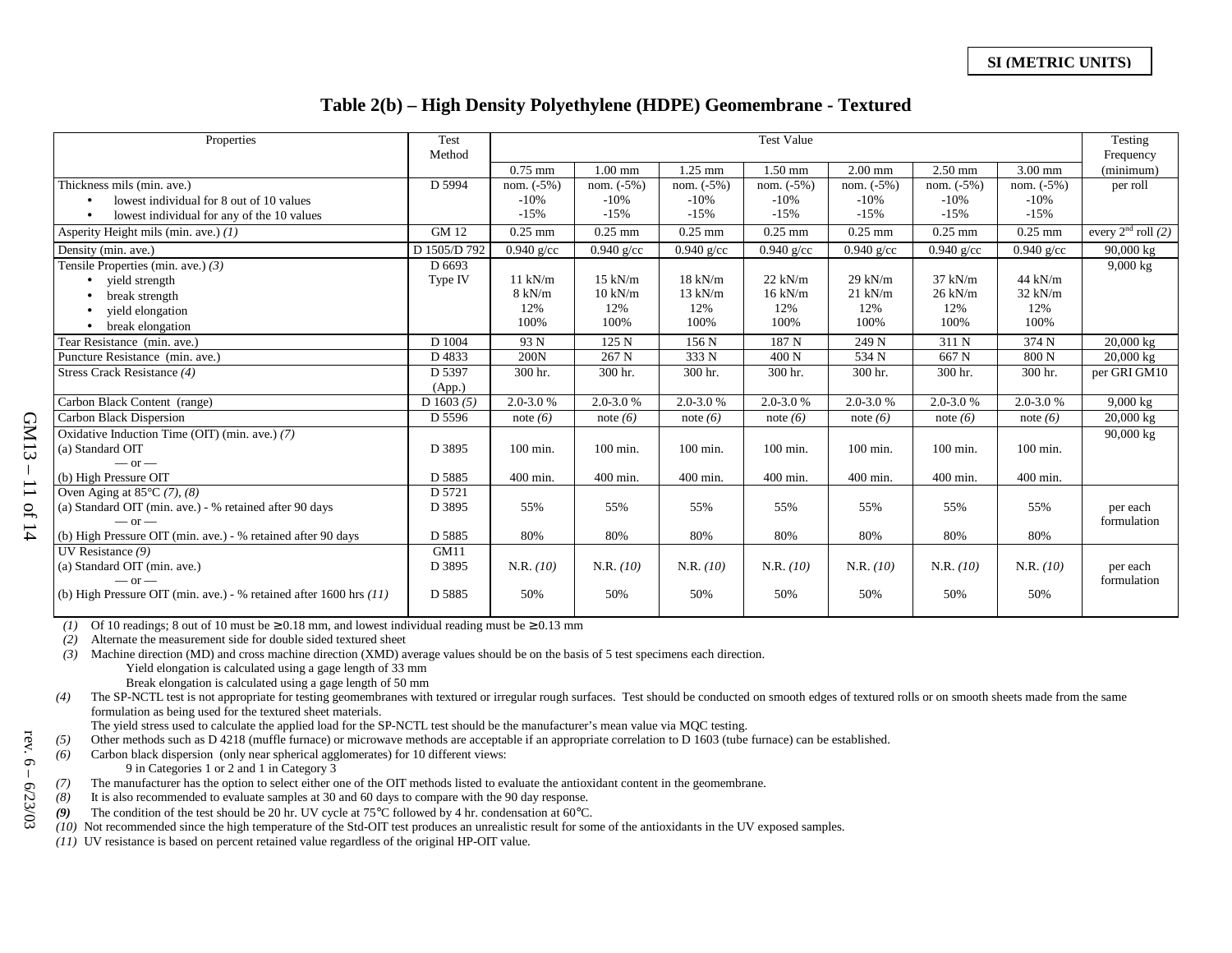#### **Table 2(b) – High Density Polyethylene (HDPE) Geomembrane - Textured**

| Properties                                                           | Test<br>Method | <b>Test Value</b> |                   |               |               | Testing<br>Frequency |                  |               |                      |
|----------------------------------------------------------------------|----------------|-------------------|-------------------|---------------|---------------|----------------------|------------------|---------------|----------------------|
|                                                                      |                | $0.75$ mm         | $1.00$ mm         | 1.25 mm       | $1.50$ mm     | $2.00$ mm            | $2.50$ mm        | $3.00$ mm     | (minimum)            |
| Thickness mils (min. ave.)                                           | D 5994         | nom. $(-5%)$      | nom. $(-5%)$      | nom. $(-5%)$  | nom. $(-5%)$  | nom. $(-5%)$         | nom. $(-5%)$     | nom. $(-5%)$  | per roll             |
| lowest individual for 8 out of 10 values                             |                | $-10%$            | $-10%$            | $-10%$        | $-10%$        | $-10%$               | $-10%$           | $-10%$        |                      |
| lowest individual for any of the 10 values                           |                | $-15%$            | $-15%$            | $-15%$        | $-15%$        | $-15%$               | $-15%$           | $-15%$        |                      |
| Asperity Height mils (min. ave.) $(1)$                               | <b>GM 12</b>   | $0.25$ mm         | $0.25$ mm         | $0.25$ mm     | $0.25$ mm     | $0.25$ mm            | $0.25$ mm        | $0.25$ mm     | every $2nd$ roll (2) |
| Density (min. ave.)                                                  | D 1505/D 792   | $0.940$ g/cc      | $0.940$ g/cc      | $0.940$ g/cc  | $0.940$ g/cc  | $0.940$ g/cc         | $0.940$ g/cc     | $0.940$ g/cc  | 90,000 kg            |
| Tensile Properties (min. ave.) $(3)$                                 | D 6693         |                   |                   |               |               |                      |                  |               | $9,000 \text{ kg}$   |
| • yield strength                                                     | Type IV        | $11$ kN/m         | $15$ kN/m         | $18$ kN/m     | $22$ kN/m     | $29$ kN/m            | $37$ kN/m        | $44$ kN/m     |                      |
| break strength                                                       |                | $8 \text{ kN/m}$  | $10 \text{ kN/m}$ | $13$ kN/m     | $16$ kN/m     | $21$ kN/m            | $26$ kN/m        | $32$ kN/m     |                      |
| yield elongation                                                     |                | 12%               | 12%               | 12%           | 12%           | 12%                  | 12%              | 12%           |                      |
| break elongation<br>$\bullet$                                        |                | 100%              | 100%              | 100%          | 100%          | 100%                 | 100%             | 100%          |                      |
| Tear Resistance (min. ave.)                                          | D 1004         | 93 N              | 125 N             | 156 N         | 187 N         | 249 N                | 311 N            | 374 N         | $20,000 \text{ kg}$  |
| Puncture Resistance (min. ave.)                                      | D4833          | 200N              | 267 N             | 333 N         | 400 N         | 534 N                | 667 <sub>N</sub> | 800 N         | $20,000$ kg          |
| Stress Crack Resistance (4)                                          | D 5397         | 300 hr.           | 300 hr.           | 300 hr.       | 300 hr.       | 300 hr.              | 300 hr.          | 300 hr.       | per GRI GM10         |
|                                                                      | (App.)         |                   |                   |               |               |                      |                  |               |                      |
| Carbon Black Content (range)                                         | D $1603(5)$    | $2.0 - 3.0 %$     | $2.0 - 3.0 %$     | $2.0 - 3.0 %$ | $2.0 - 3.0 %$ | $2.0 - 3.0 %$        | $2.0 - 3.0 %$    | $2.0 - 3.0 %$ | $9,000 \text{ kg}$   |
| Carbon Black Dispersion                                              | D 5596         | note $(6)$        | note $(6)$        | note $(6)$    | note $(6)$    | note $(6)$           | note $(6)$       | note $(6)$    | $20,000 \text{ kg}$  |
| Oxidative Induction Time (OIT) (min. ave.) (7)                       |                |                   |                   |               |               |                      |                  |               | 90,000 kg            |
| (a) Standard OIT                                                     | D 3895         | $100$ min.        | $100$ min.        | 100 min.      | $100$ min.    | 100 min.             | $100$ min.       | $100$ min.    |                      |
| $-$ or $-$                                                           |                |                   |                   |               |               |                      |                  |               |                      |
| (b) High Pressure OIT                                                | D 5885         | 400 min.          | 400 min.          | 400 min.      | 400 min.      | 400 min.             | 400 min.         | 400 min.      |                      |
| Oven Aging at $85^{\circ}$ C (7), (8)                                | D 5721         |                   |                   |               |               |                      |                  |               |                      |
| (a) Standard OIT (min. ave.) - % retained after 90 days              | D 3895         | 55%               | 55%               | 55%           | 55%           | 55%                  | 55%              | 55%           | per each             |
| $-$ or $-$                                                           |                |                   |                   |               |               |                      |                  |               | formulation          |
| (b) High Pressure OIT (min. ave.) - % retained after 90 days         | D 5885         | 80%               | 80%               | 80%           | 80%           | 80%                  | 80%              | 80%           |                      |
| UV Resistance (9)                                                    | GM11           |                   |                   |               |               |                      |                  |               |                      |
| (a) Standard OIT (min. ave.)                                         | D 3895         | N.R. (10)         | N.R. (10)         | N.R. (10)     | N.R. (10)     | N.R. (10)            | N.R. (10)        | N.R. (10)     | per each             |
| $-$ or $-$                                                           |                |                   |                   |               |               |                      |                  |               | formulation          |
| (b) High Pressure OIT (min. ave.) - % retained after 1600 hrs $(11)$ | D 5885         | 50%               | 50%               | 50%           | 50%           | 50%                  | 50%              | 50%           |                      |
|                                                                      |                |                   |                   |               |               |                      |                  |               |                      |

(1) Of 10 readings; 8 out of 10 must be  $\geq 0.18$  mm, and lowest individual reading must be  $\geq 0.13$  mm

*(2)* Alternate the measurement side for double sided textured sheet

- *(3)* Machine direction (MD) and cross machine direction (XMD) average values should be on the basis of 5 test specimens each direction. Yield elongation is calculated using a gage length of 33 mm Break elongation is calculated using a gage length of 50 mm
- *(4)* The SP-NCTL test is not appropriate for testing geomembranes with textured or irregular rough surfaces. Test should be conducted on smooth edges of textured rolls or on smooth sheets made from the same formulation as being used for the textured sheet materials.

The yield stress used to calculate the applied load for the SP-NCTL test should be the manufacturer's mean value via MQC testing.

*(5)* Other methods such as D 4218 (muffle furnace) or microwave methods are acceptable if an appropriate correlation to D 1603 (tube furnace) can be established.

*(6)* Carbon black dispersion (only near spherical agglomerates) for 10 different views:

9 in Categories 1 or 2 and 1 in Category 3

*(7)* The manufacturer has the option to select either one of the OIT methods listed to evaluate the antioxidant content in the geomembrane.

*(8)* It is also recommended to evaluate samples at 30 and 60 days to compare with the 90 day response.

*(9)* The condition of the test should be 20 hr. UV cycle at 75°C followed by 4 hr. condensation at 60°C.

*(10)* Not recommended since the high temperature of the Std-OIT test produces an unrealistic result for some of the antioxidants in the UV exposed samples.

*(11)* UV resistance is based on percent retained value regardless of the original HP-OIT value.

rev. 6  $\mathbf{I}$  $-6/23/03$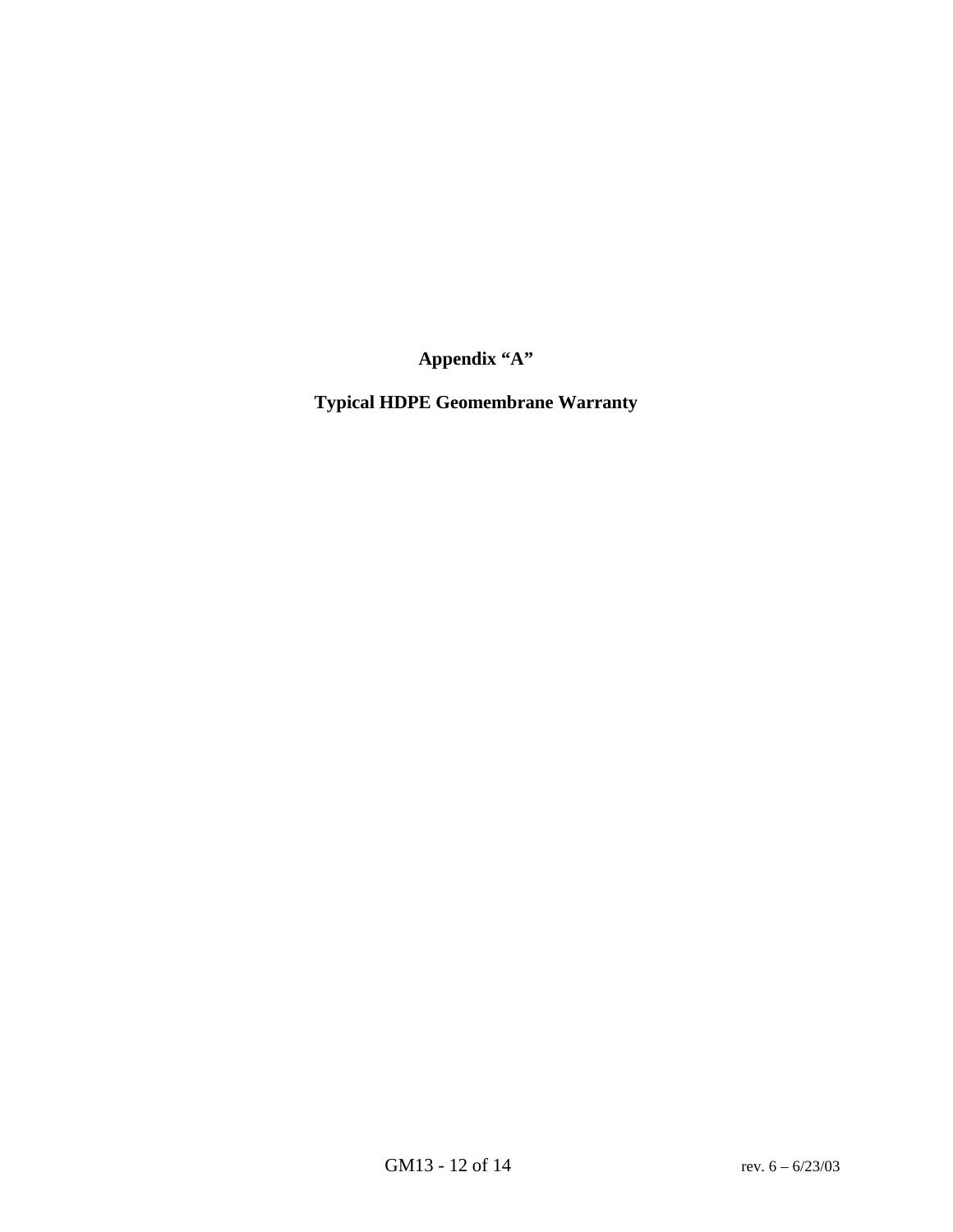**Appendix "A"** 

**Typical HDPE Geomembrane Warranty**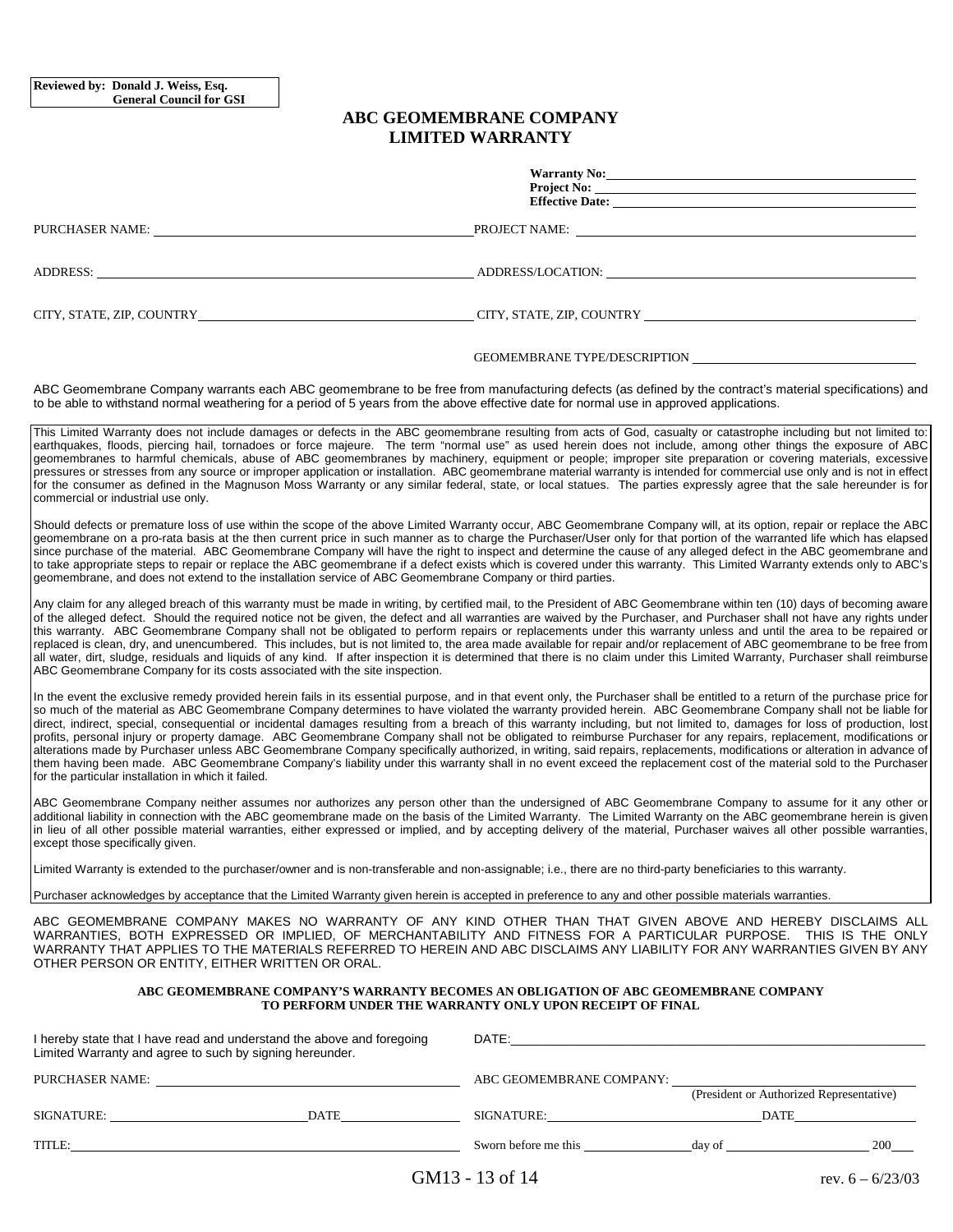#### **ABC GEOMEMBRANE COMPANY LIMITED WARRANTY**

|                                                                                                                                                                                                                                | Warranty No:                                                                                                                                                                                                                                                                                                                                                                                                                                                                                                                                                                                                                                                                                                                                                                                                                                                                                                                                                                                                                                         |
|--------------------------------------------------------------------------------------------------------------------------------------------------------------------------------------------------------------------------------|------------------------------------------------------------------------------------------------------------------------------------------------------------------------------------------------------------------------------------------------------------------------------------------------------------------------------------------------------------------------------------------------------------------------------------------------------------------------------------------------------------------------------------------------------------------------------------------------------------------------------------------------------------------------------------------------------------------------------------------------------------------------------------------------------------------------------------------------------------------------------------------------------------------------------------------------------------------------------------------------------------------------------------------------------|
|                                                                                                                                                                                                                                | Project No:<br>Effective Date:                                                                                                                                                                                                                                                                                                                                                                                                                                                                                                                                                                                                                                                                                                                                                                                                                                                                                                                                                                                                                       |
| PURCHASER NAME: University of the contract of the contract of the contract of the contract of the contract of the contract of the contract of the contract of the contract of the contract of the contract of the contract of  | PROJECT NAME:                                                                                                                                                                                                                                                                                                                                                                                                                                                                                                                                                                                                                                                                                                                                                                                                                                                                                                                                                                                                                                        |
| ADDRESS: New York Contract the Contract of the Contract of the Contract of the Contract of the Contract of the Contract of the Contract of the Contract of the Contract of the Contract of the Contract of the Contract of the |                                                                                                                                                                                                                                                                                                                                                                                                                                                                                                                                                                                                                                                                                                                                                                                                                                                                                                                                                                                                                                                      |
|                                                                                                                                                                                                                                | CITY, STATE, ZIP, COUNTRY COUNTRY COUNTRY COUNTRY COUNTRY COUNTRY COUNTRY COUNTRY COUNTRY COUNTRY COUNTRY COUNTRY COUNTRY COUNTRY COUNTRY COUNTRY COUNTRY COUNTRY COUNTRY COUNTRY COUNTRY COUNTRY COUNTRY COUNTRY COUNTRY COUN                                                                                                                                                                                                                                                                                                                                                                                                                                                                                                                                                                                                                                                                                                                                                                                                                       |
|                                                                                                                                                                                                                                |                                                                                                                                                                                                                                                                                                                                                                                                                                                                                                                                                                                                                                                                                                                                                                                                                                                                                                                                                                                                                                                      |
| to be able to withstand normal weathering for a period of 5 years from the above effective date for normal use in approved applications.                                                                                       | ABC Geomembrane Company warrants each ABC geomembrane to be free from manufacturing defects (as defined by the contract's material specifications) and                                                                                                                                                                                                                                                                                                                                                                                                                                                                                                                                                                                                                                                                                                                                                                                                                                                                                               |
| commercial or industrial use only.                                                                                                                                                                                             | This Limited Warranty does not include damages or defects in the ABC geomembrane resulting from acts of God, casualty or catastrophe including but not limited to:<br>earthquakes, floods, piercing hail, tornadoes or force majeure. The term "normal use" as used herein does not include, among other things the exposure of ABC<br>geomembranes to harmful chemicals, abuse of ABC geomembranes by machinery, equipment or people; improper site preparation or covering materials, excessive<br>pressures or stresses from any source or improper application or installation. ABC geomembrane material warranty is intended for commercial use only and is not in effect<br>for the consumer as defined in the Magnuson Moss Warranty or any similar federal, state, or local statues. The parties expressly agree that the sale hereunder is for                                                                                                                                                                                              |
| geomembrane, and does not extend to the installation service of ABC Geomembrane Company or third parties.                                                                                                                      | Should defects or premature loss of use within the scope of the above Limited Warranty occur, ABC Geomembrane Company will, at its option, repair or replace the ABC<br>geomembrane on a pro-rata basis at the then current price in such manner as to charge the Purchaser/User only for that portion of the warranted life which has elapsed<br>since purchase of the material. ABC Geomembrane Company will have the right to inspect and determine the cause of any alleged defect in the ABC geomembrane and<br>to take appropriate steps to repair or replace the ABC geomembrane if a defect exists which is covered under this warranty. This Limited Warranty extends only to ABC's                                                                                                                                                                                                                                                                                                                                                         |
| ABC Geomembrane Company for its costs associated with the site inspection.                                                                                                                                                     | Any claim for any alleged breach of this warranty must be made in writing, by certified mail, to the President of ABC Geomembrane within ten (10) days of becoming aware<br>of the alleged defect. Should the required notice not be given, the defect and all warranties are waived by the Purchaser, and Purchaser shall not have any rights under<br>this warranty. ABC Geomembrane Company shall not be obligated to perform repairs or replacements under this warranty unless and until the area to be repaired or<br>replaced is clean, dry, and unencumbered. This includes, but is not limited to, the area made available for repair and/or replacement of ABC geomembrane to be free from<br>all water, dirt, sludge, residuals and liquids of any kind. If after inspection it is determined that there is no claim under this Limited Warranty, Purchaser shall reimburse                                                                                                                                                               |
| for the particular installation in which it failed.                                                                                                                                                                            | In the event the exclusive remedy provided herein fails in its essential purpose, and in that event only, the Purchaser shall be entitled to a return of the purchase price for<br>so much of the material as ABC Geomembrane Company determines to have violated the warranty provided herein. ABC Geomembrane Company shall not be liable for<br>direct, indirect, special, consequential or incidental damages resulting from a breach of this warranty including, but not limited to, damages for loss of production, lost<br>profits, personal injury or property damage. ABC Geomembrane Company shall not be obligated to reimburse Purchaser for any repairs, replacement, modifications or<br>alterations made by Purchaser unless ABC Geomembrane Company specifically authorized, in writing, said repairs, replacements, modifications or alteration in advance of<br>them having been made. ABC Geomembrane Company's liability under this warranty shall in no event exceed the replacement cost of the material sold to the Purchaser |
| except those specifically given.                                                                                                                                                                                               | ABC Geomembrane Company neither assumes nor authorizes any person other than the undersigned of ABC Geomembrane Company to assume for it any other or<br>additional liability in connection with the ABC geomembrane made on the basis of the Limited Warranty. The Limited Warranty on the ABC geomembrane herein is given<br>in lieu of all other possible material warranties, either expressed or implied, and by accepting delivery of the material, Purchaser waives all other possible warranties,                                                                                                                                                                                                                                                                                                                                                                                                                                                                                                                                            |
| Limited Warranty is extended to the purchaser/owner and is non-transferable and non-assignable; i.e., there are no third-party beneficiaries to this warranty.                                                                 |                                                                                                                                                                                                                                                                                                                                                                                                                                                                                                                                                                                                                                                                                                                                                                                                                                                                                                                                                                                                                                                      |
| Purchaser acknowledges by acceptance that the Limited Warranty given herein is accepted in preference to any and other possible materials warranties.                                                                          |                                                                                                                                                                                                                                                                                                                                                                                                                                                                                                                                                                                                                                                                                                                                                                                                                                                                                                                                                                                                                                                      |
| OTHER PERSON OR ENTITY, EITHER WRITTEN OR ORAL.                                                                                                                                                                                | ABC GEOMEMBRANE COMPANY MAKES NO WARRANTY OF ANY KIND OTHER THAN THAT GIVEN ABOVE AND HEREBY DISCLAIMS ALL<br>WARRANTIES, BOTH EXPRESSED OR IMPLIED, OF MERCHANTABILITY AND FITNESS FOR A PARTICULAR PURPOSE. THIS IS THE ONLY<br>WARRANTY THAT APPLIES TO THE MATERIALS REFERRED TO HEREIN AND ABC DISCLAIMS ANY LIABILITY FOR ANY WARRANTIES GIVEN BY ANY                                                                                                                                                                                                                                                                                                                                                                                                                                                                                                                                                                                                                                                                                          |
|                                                                                                                                                                                                                                | ABC GEOMEMBRANE COMPANY'S WARRANTY BECOMES AN OBLIGATION OF ABC GEOMEMBRANE COMPANY<br>TO PERFORM UNDER THE WARRANTY ONLY UPON RECEIPT OF FINAL                                                                                                                                                                                                                                                                                                                                                                                                                                                                                                                                                                                                                                                                                                                                                                                                                                                                                                      |
| I hereby state that I have read and understand the above and foregoing<br>Limited Warranty and agree to such by signing hereunder.                                                                                             |                                                                                                                                                                                                                                                                                                                                                                                                                                                                                                                                                                                                                                                                                                                                                                                                                                                                                                                                                                                                                                                      |
|                                                                                                                                                                                                                                | ABC GEOMEMBRANE COMPANY:<br>(President or Authorized Representative)                                                                                                                                                                                                                                                                                                                                                                                                                                                                                                                                                                                                                                                                                                                                                                                                                                                                                                                                                                                 |

TITLE: Sworn before me this day of 200

SIGNATURE: DATE SIGNATURE: DATE